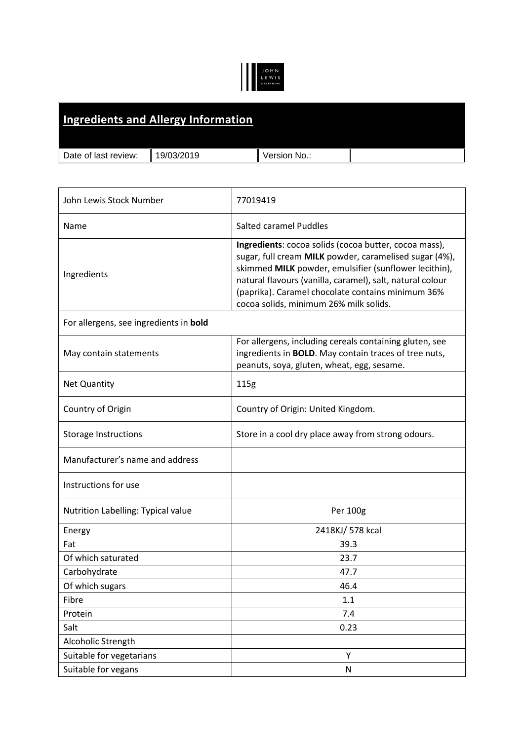## JOHN<br>LEWIS<br>APARTNERS

|                      | Ingredients and Allergy Information |              |  |
|----------------------|-------------------------------------|--------------|--|
| Date of last review: | 19/03/2019                          | Version No.: |  |

| John Lewis Stock Number                | 77019419                                                                                                                                                                                                                                                                                                                             |  |
|----------------------------------------|--------------------------------------------------------------------------------------------------------------------------------------------------------------------------------------------------------------------------------------------------------------------------------------------------------------------------------------|--|
| Name                                   | <b>Salted caramel Puddles</b>                                                                                                                                                                                                                                                                                                        |  |
| Ingredients                            | Ingredients: cocoa solids (cocoa butter, cocoa mass),<br>sugar, full cream MILK powder, caramelised sugar (4%),<br>skimmed MILK powder, emulsifier (sunflower lecithin),<br>natural flavours (vanilla, caramel), salt, natural colour<br>(paprika). Caramel chocolate contains minimum 36%<br>cocoa solids, minimum 26% milk solids. |  |
| For allergens, see ingredients in bold |                                                                                                                                                                                                                                                                                                                                      |  |
| May contain statements                 | For allergens, including cereals containing gluten, see<br>ingredients in <b>BOLD</b> . May contain traces of tree nuts,<br>peanuts, soya, gluten, wheat, egg, sesame.                                                                                                                                                               |  |
| <b>Net Quantity</b>                    | 115g                                                                                                                                                                                                                                                                                                                                 |  |
| Country of Origin                      | Country of Origin: United Kingdom.                                                                                                                                                                                                                                                                                                   |  |
| <b>Storage Instructions</b>            | Store in a cool dry place away from strong odours.                                                                                                                                                                                                                                                                                   |  |
| Manufacturer's name and address        |                                                                                                                                                                                                                                                                                                                                      |  |
| Instructions for use                   |                                                                                                                                                                                                                                                                                                                                      |  |
| Nutrition Labelling: Typical value     | Per 100g                                                                                                                                                                                                                                                                                                                             |  |
| Energy                                 | 2418KJ/ 578 kcal                                                                                                                                                                                                                                                                                                                     |  |
| Fat                                    | 39.3                                                                                                                                                                                                                                                                                                                                 |  |
| Of which saturated                     | 23.7                                                                                                                                                                                                                                                                                                                                 |  |
| Carbohydrate                           | 47.7                                                                                                                                                                                                                                                                                                                                 |  |
| Of which sugars                        | 46.4                                                                                                                                                                                                                                                                                                                                 |  |
| Fibre                                  | 1.1                                                                                                                                                                                                                                                                                                                                  |  |
| Protein                                | 7.4                                                                                                                                                                                                                                                                                                                                  |  |
| Salt                                   | 0.23                                                                                                                                                                                                                                                                                                                                 |  |
| Alcoholic Strength                     |                                                                                                                                                                                                                                                                                                                                      |  |
| Suitable for vegetarians               | Υ                                                                                                                                                                                                                                                                                                                                    |  |
| Suitable for vegans                    | ${\sf N}$                                                                                                                                                                                                                                                                                                                            |  |